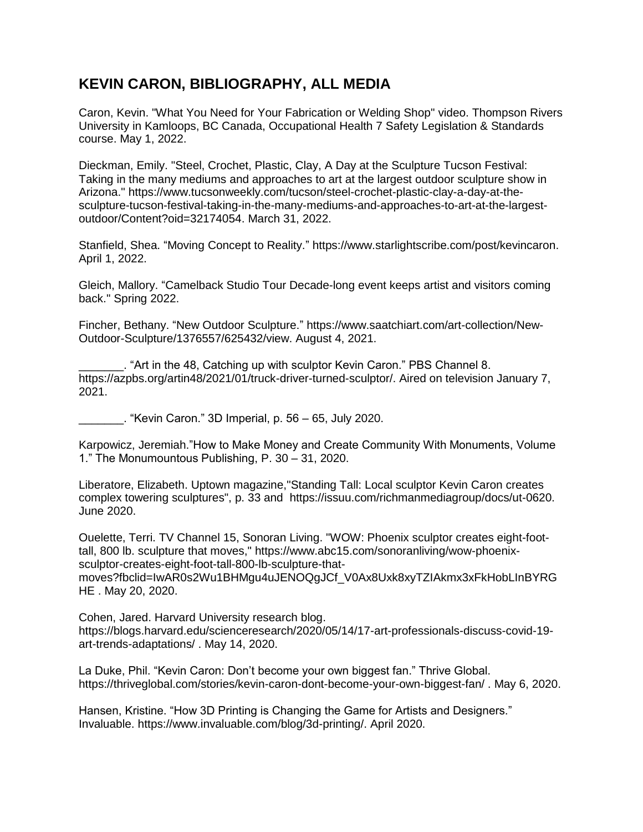## **KEVIN CARON, BIBLIOGRAPHY, ALL MEDIA**

Caron, Kevin. "What You Need for Your Fabrication or Welding Shop" video. Thompson Rivers University in Kamloops, BC Canada, Occupational Health 7 Safety Legislation & Standards course. May 1, 2022.

Dieckman, Emily. "Steel, Crochet, Plastic, Clay, A Day at the Sculpture Tucson Festival: Taking in the many mediums and approaches to art at the largest outdoor sculpture show in Arizona." [https://www.tucsonweekly.com/tucson/steel-crochet-plastic-clay-a-day-at-the](https://www.tucsonweekly.com/tucson/steel-crochet-plastic-clay-a-day-at-the-sculpture-tucson-festival-taking-in-the-many-mediums-and-approaches-to-art-at-the-largest-outdoor/Content?oid=32174054)[sculpture-tucson-festival-taking-in-the-many-mediums-and-approaches-to-art-at-the-largest](https://www.tucsonweekly.com/tucson/steel-crochet-plastic-clay-a-day-at-the-sculpture-tucson-festival-taking-in-the-many-mediums-and-approaches-to-art-at-the-largest-outdoor/Content?oid=32174054)[outdoor/Content?oid=32174054.](https://www.tucsonweekly.com/tucson/steel-crochet-plastic-clay-a-day-at-the-sculpture-tucson-festival-taking-in-the-many-mediums-and-approaches-to-art-at-the-largest-outdoor/Content?oid=32174054) March 31, 2022.

Stanfield, Shea. "Moving Concept to Reality." [https://www.starlightscribe.com/post/kevincaron.](https://www.starlightscribe.com/post/kevincaron) April 1, 2022.

Gleich, Mallory. "Camelback Studio Tour Decade-long event keeps artist and visitors coming back." Spring 2022.

Fincher, Bethany. "New Outdoor Sculpture." [https://www.saatchiart.com/art-collection/New-](https://www.saatchiart.com/art-collection/New-Outdoor-Sculpture/1376557/625432/view)[Outdoor-Sculpture/1376557/625432/view.](https://www.saatchiart.com/art-collection/New-Outdoor-Sculpture/1376557/625432/view) August 4, 2021.

. "Art in the 48, Catching up with sculptor Kevin Caron." PBS Channel 8. https://azpbs.org/artin48/2021/01/truck-driver-turned-sculptor/. Aired on television January 7, 2021.

\_\_\_\_\_\_\_. "Kevin Caron." 3D Imperial, p. 56 – 65, July 2020.

Karpowicz, Jeremiah."How to Make Money and Create Community With Monuments, Volume 1." The Monumountous Publishing, P. 30 – 31, 2020.

Liberatore, Elizabeth. Uptown magazine,"Standing Tall: Local sculptor Kevin Caron creates complex towering sculptures", p. 33 and [https://issuu.com/richmanmediagroup/docs/ut-0620.](https://issuu.com/richmanmediagroup/docs/ut-0620) June 2020.

Ouelette, Terri. TV Channel 15, Sonoran Living. "WOW: Phoenix sculptor creates eight-foottall, 800 lb. sculpture that moves," [https://www.abc15.com/sonoranliving/wow-phoenix](https://www.abc15.com/sonoranliving/wow-phoenix-sculptor-creates-eight-foot-tall-800-lb-sculpture-that-moves?fbclid=IwAR0s2Wu1BHMgu4uJENOQgJCf_V0Ax8Uxk8xyTZIAkmx3xFkHobLInBYRGHE)[sculptor-creates-eight-foot-tall-800-lb-sculpture-that](https://www.abc15.com/sonoranliving/wow-phoenix-sculptor-creates-eight-foot-tall-800-lb-sculpture-that-moves?fbclid=IwAR0s2Wu1BHMgu4uJENOQgJCf_V0Ax8Uxk8xyTZIAkmx3xFkHobLInBYRGHE)[moves?fbclid=IwAR0s2Wu1BHMgu4uJENOQgJCf\\_V0Ax8Uxk8xyTZIAkmx3xFkHobLInBYRG](https://www.abc15.com/sonoranliving/wow-phoenix-sculptor-creates-eight-foot-tall-800-lb-sculpture-that-moves?fbclid=IwAR0s2Wu1BHMgu4uJENOQgJCf_V0Ax8Uxk8xyTZIAkmx3xFkHobLInBYRGHE) [HE](https://www.abc15.com/sonoranliving/wow-phoenix-sculptor-creates-eight-foot-tall-800-lb-sculpture-that-moves?fbclid=IwAR0s2Wu1BHMgu4uJENOQgJCf_V0Ax8Uxk8xyTZIAkmx3xFkHobLInBYRGHE) . May 20, 2020.

Cohen, Jared. Harvard University research blog. [https://blogs.harvard.edu/scienceresearch/2020/05/14/17-art-professionals-discuss-covid-19](https://blogs.harvard.edu/scienceresearch/2020/05/14/17-art-professionals-discuss-covid-19-art-trends-adaptations/) [art-trends-adaptations/](https://blogs.harvard.edu/scienceresearch/2020/05/14/17-art-professionals-discuss-covid-19-art-trends-adaptations/) . May 14, 2020.

La Duke, Phil. "Kevin Caron: Don't become your own biggest fan." Thrive Global. <https://thriveglobal.com/stories/kevin-caron-dont-become-your-own-biggest-fan/> . May 6, 2020.

Hansen, Kristine. "How 3D Printing is Changing the Game for Artists and Designers." Invaluable. [https://www.invaluable.com/blog/3d-printing/.](https://www.invaluable.com/blog/3d-printing/) April 2020.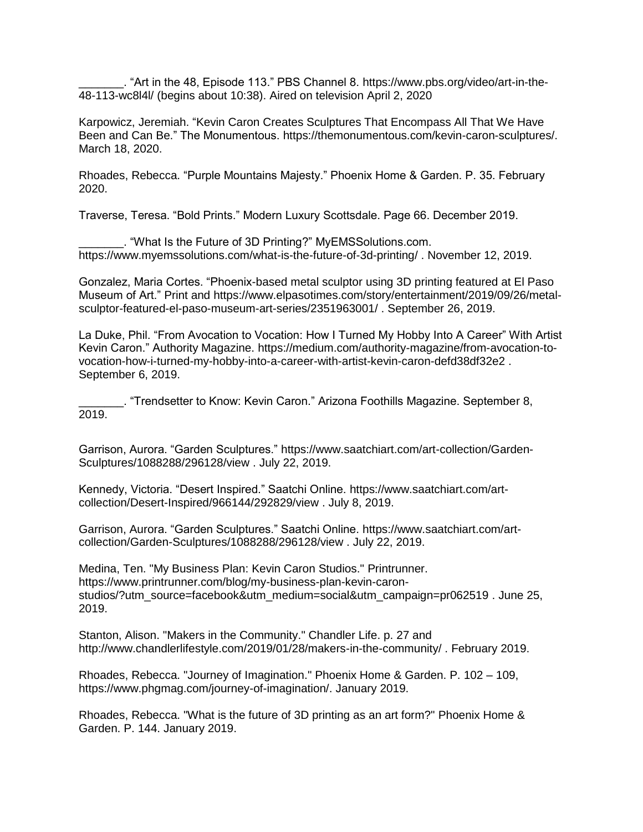\_\_\_\_\_\_\_. "Art in the 48, Episode 113." PBS Channel 8. [https://www.pbs.org/video/art-in-the-](https://www.pbs.org/video/art-in-the-48-113-wc8l4l/)[48-113-wc8l4l/](https://www.pbs.org/video/art-in-the-48-113-wc8l4l/) (begins about 10:38). Aired on television April 2, 2020

Karpowicz, Jeremiah. "Kevin Caron Creates Sculptures That Encompass All That We Have Been and Can Be." The Monumentous. [https://themonumentous.com/kevin-caron-sculptures/.](https://themonumentous.com/kevin-caron-sculptures/) March 18, 2020.

Rhoades, Rebecca. "Purple Mountains Majesty." Phoenix Home & Garden. P. 35. February 2020.

Traverse, Teresa. "Bold Prints." Modern Luxury Scottsdale. Page 66. December 2019.

\_\_\_\_\_\_\_. "What Is the Future of 3D Printing?" MyEMSSolutions.com. <https://www.myemssolutions.com/what-is-the-future-of-3d-printing/> . November 12, 2019.

Gonzalez, Maria Cortes. "Phoenix-based metal sculptor using 3D printing featured at El Paso Museum of Art." Print and https://www.elpasotimes.com/story/entertainment/2019/09/26/metalsculptor-featured-el-paso-museum-art-series/2351963001/ . September 26, 2019.

La Duke, Phil. "From Avocation to Vocation: How I Turned My Hobby Into A Career" With Artist Kevin Caron." Authority Magazine. https://medium.com/authority-magazine/from-avocation-tovocation-how-i-turned-my-hobby-into-a-career-with-artist-kevin-caron-defd38df32e2 . September 6, 2019.

\_\_\_\_\_\_\_. "Trendsetter to Know: Kevin Caron." Arizona Foothills Magazine. September 8, 2019.

Garrison, Aurora. "Garden Sculptures." [https://www.saatchiart.com/art-collection/Garden-](https://www.saatchiart.com/art-collection/Garden-Sculptures/1088288/296128/view)[Sculptures/1088288/296128/view](https://www.saatchiart.com/art-collection/Garden-Sculptures/1088288/296128/view) . July 22, 2019.

Kennedy, Victoria. "Desert Inspired." Saatchi Online. [https://www.saatchiart.com/art](https://www.saatchiart.com/art-collection/Desert-Inspired/966144/292829/view)[collection/Desert-Inspired/966144/292829/view](https://www.saatchiart.com/art-collection/Desert-Inspired/966144/292829/view) . July 8, 2019.

Garrison, Aurora. "Garden Sculptures." Saatchi Online. [https://www.saatchiart.com/art](https://www.saatchiart.com/art-collection/Garden-Sculptures/1088288/296128/view)[collection/Garden-Sculptures/1088288/296128/view](https://www.saatchiart.com/art-collection/Garden-Sculptures/1088288/296128/view) . July 22, 2019.

Medina, Ten. "My Business Plan: Kevin Caron Studios." Printrunner. [https://www.printrunner.com/blog/my-business-plan-kevin-caron](https://www.printrunner.com/blog/my-business-plan-kevin-caron-studios/?utm_source=facebook&utm_medium=social&utm_campaign=pr062519)[studios/?utm\\_source=facebook&utm\\_medium=social&utm\\_campaign=pr062519](https://www.printrunner.com/blog/my-business-plan-kevin-caron-studios/?utm_source=facebook&utm_medium=social&utm_campaign=pr062519) . June 25, 2019.

Stanton, Alison. ["Makers in the Community."](http://www.chandlerlifestyle.com/2019/01/28/makers-in-the-community/) Chandler Life. p. 27 and <http://www.chandlerlifestyle.com/2019/01/28/makers-in-the-community/> . February 2019.

Rhoades, Rebecca. "Journey of Imagination." Phoenix Home & Garden. P. 102 – 109, [https://www.phgmag.com/journey-of-imagination/.](https://www.phgmag.com/journey-of-imagination/) January 2019.

Rhoades, Rebecca. "What is the future of 3D printing as an art form?" Phoenix Home & Garden. P. 144. January 2019.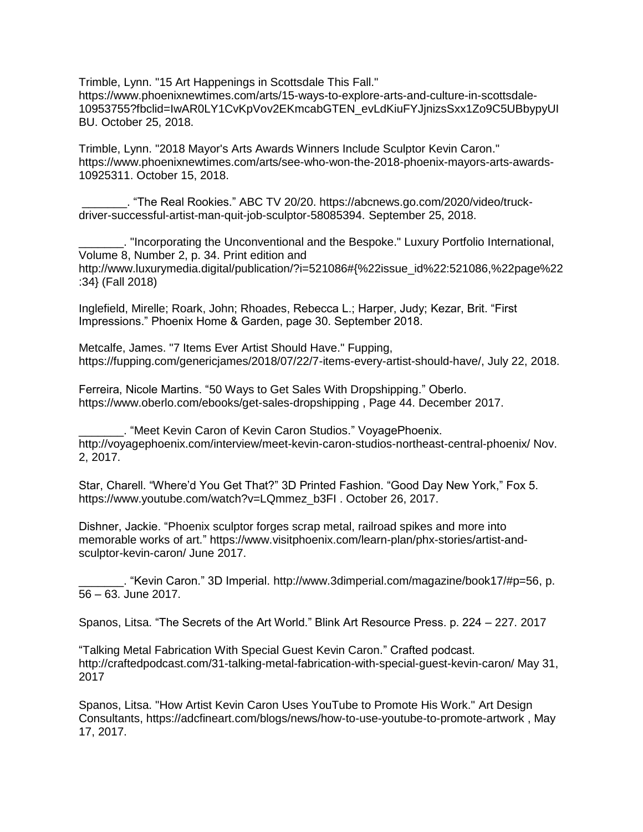Trimble, Lynn. ["15 Art Happenings in Scottsdale This Fall."](https://www.phoenixnewtimes.com/arts/15-ways-to-explore-arts-and-culture-in-scottsdale-10953755?fbclid=IwAR0LY1CvKpVov2EKmcabGTEN_evLdKiuFYJjnizsSxx1Zo9C5UBbypyUIBU) https://www.phoenixnewtimes.com/arts/15-ways-to-explore-arts-and-culture-in-scottsdale-10953755?fbclid=IwAR0LY1CvKpVov2EKmcabGTEN\_evLdKiuFYJjnizsSxx1Zo9C5UBbypyUI BU. October 25, 2018.

Trimble, Lynn. ["2018 Mayor's Arts Awards Winners Include Sculptor Kevin Caron."](https://www.phoenixnewtimes.com/arts/15-ways-to-explore-arts-and-culture-in-scottsdale-10953755?fbclid=IwAR0LY1CvKpVov2EKmcabGTEN_evLdKiuFYJjnizsSxx1Zo9C5UBbypyUIBU) https://www.phoenixnewtimes.com/arts/see-who-won-the-2018-phoenix-mayors-arts-awards-10925311. October 15, 2018.

\_\_\_\_\_\_\_. "The Real Rookies." ABC TV 20/20. [https://abcnews.go.com/2020/video/truck](https://abcnews.go.com/2020/video/truck-driver-successful-artist-man-quit-job-sculptor-58085394)[driver-successful-artist-man-quit-job-sculptor-58085394.](https://abcnews.go.com/2020/video/truck-driver-successful-artist-man-quit-job-sculptor-58085394) September 25, 2018.

\_\_\_\_\_\_\_. "Incorporating the Unconventional and the Bespoke." Luxury Portfolio International, Volume 8, Number 2, p. 34. Print edition and http://www.luxurymedia.digital/publication/?i=521086#{%22issue\_id%22:521086,%22page%22 :34} (Fall 2018)

Inglefield, Mirelle; Roark, John; Rhoades, Rebecca L.; Harper, Judy; Kezar, Brit. "First Impressions." Phoenix Home & Garden, page 30. September 2018.

Metcalfe, James. "7 Items Ever Artist Should Have." Fupping, https://fupping.com/genericjames/2018/07/22/7-items-every-artist-should-have/, July 22, 2018.

Ferreira, Nicole Martins. "50 Ways to Get Sales With Dropshipping." Oberlo. https://www.oberlo.com/ebooks/get-sales-dropshipping , Page 44. December 2017.

\_\_\_\_\_\_\_. "Meet Kevin Caron of Kevin Caron Studios." VoyagePhoenix. <http://voyagephoenix.com/interview/meet-kevin-caron-studios-northeast-central-phoenix/> Nov. 2, 2017.

Star, Charell. "Where'd You Get That?" 3D Printed Fashion. "Good Day New York," Fox 5. [https://www.youtube.com/watch?v=LQmmez\\_b3FI](https://www.youtube.com/watch?v=LQmmez_b3FI) . October 26, 2017.

Dishner, Jackie. "Phoenix sculptor forges scrap metal, railroad spikes and more into memorable works of art." https://www.visitphoenix.com/learn-plan/phx-stories/artist-andsculptor-kevin-caron/ June 2017.

\_\_\_\_\_\_\_. "Kevin Caron." 3D Imperial. http://www.3dimperial.com/magazine/book17/#p=56, p. 56 – 63. June 2017.

Spanos, Litsa. "The Secrets of the Art World." Blink Art Resource Press. p. 224 – 227. 2017

"Talking Metal Fabrication With Special Guest Kevin Caron." Crafted podcast. <http://craftedpodcast.com/31-talking-metal-fabrication-with-special-guest-kevin-caron/> May 31, 2017

Spanos, Litsa. "How Artist Kevin Caron Uses YouTube to Promote His Work." Art Design Consultants, https://adcfineart.com/blogs/news/how-to-use-youtube-to-promote-artwork , May 17, 2017.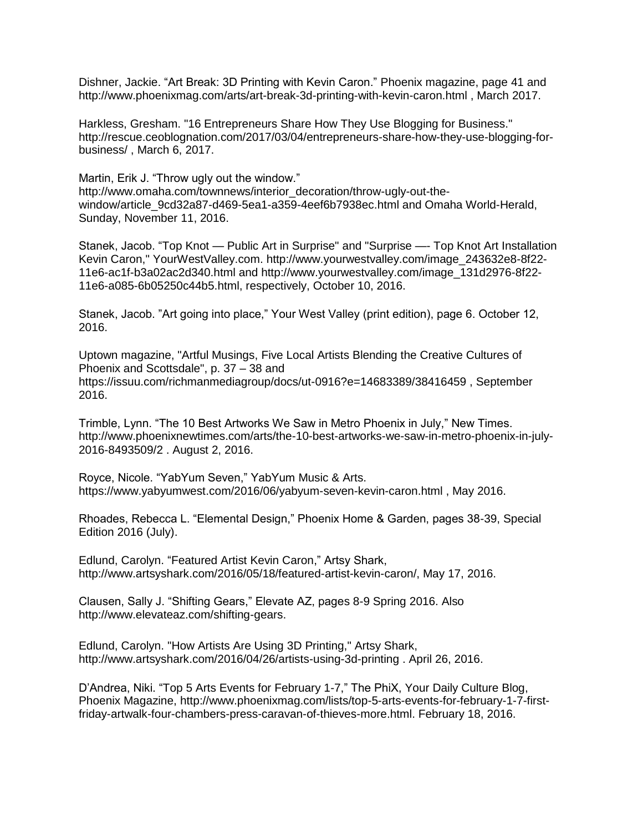Dishner, Jackie. "Art Break: 3D Printing with Kevin Caron." Phoenix magazine, page 41 and <http://www.phoenixmag.com/arts/art-break-3d-printing-with-kevin-caron.html> , March 2017.

Harkless, Gresham. "16 Entrepreneurs Share How They Use Blogging for Business." [http://rescue.ceoblognation.com/2017/03/04/entrepreneurs-share-how-they-use-blogging-for](http://rescue.ceoblognation.com/2017/03/04/entrepreneurs-share-how-they-use-blogging-for-business/)[business/](http://rescue.ceoblognation.com/2017/03/04/entrepreneurs-share-how-they-use-blogging-for-business/) , March 6, 2017.

Martin, Erik J. "Throw ugly out the window." http://www.omaha.com/townnews/interior\_decoration/throw-ugly-out-thewindow/article\_9cd32a87-d469-5ea1-a359-4eef6b7938ec.html and Omaha World-Herald, Sunday, November 11, 2016.

Stanek, Jacob. "Top Knot — Public Art in Surprise" and "Surprise —- Top Knot Art Installation Kevin Caron," YourWestValley.com. [http://www.yourwestvalley.com/image\\_243632e8-8f22-](http://www.yourwestvalley.com/image_243632e8-8f22-11e6-ac1f-b3a02ac2d340.html) [11e6-ac1f-b3a02ac2d340.html](http://www.yourwestvalley.com/image_243632e8-8f22-11e6-ac1f-b3a02ac2d340.html) and [http://www.yourwestvalley.com/image\\_131d2976-8f22-](http://www.yourwestvalley.com/image_131d2976-8f22-11e6-a085-6b05250c44b5.html) [11e6-a085-6b05250c44b5.html,](http://www.yourwestvalley.com/image_131d2976-8f22-11e6-a085-6b05250c44b5.html) respectively, October 10, 2016.

Stanek, Jacob. "Art going into place," Your West Valley (print edition), page 6. October 12, 2016.

Uptown magazine, "Artful Musings, Five Local Artists Blending the Creative Cultures of Phoenix and Scottsdale", p. 37 – 38 and <https://issuu.com/richmanmediagroup/docs/ut-0916?e=14683389/38416459> , September 2016.

Trimble, Lynn. "The 10 Best Artworks We Saw in Metro Phoenix in July," New Times. http://www.phoenixnewtimes.com/arts/the-10-best-artworks-we-saw-in-metro-phoenix-in-july-2016-8493509/2 . August 2, 2016.

Royce, Nicole. "YabYum Seven," YabYum Music & Arts. https://www.yabyumwest.com/2016/06/yabyum-seven-kevin-caron.html , May 2016.

Rhoades, Rebecca L. "Elemental Design," Phoenix Home & Garden, pages 38-39, Special Edition 2016 (July).

Edlund, Carolyn. "Featured Artist Kevin Caron," Artsy Shark, http://www.artsyshark.com/2016/05/18/featured-artist-kevin-caron/, May 17, 2016.

Clausen, Sally J. "Shifting Gears," Elevate AZ, pages 8-9 Spring 2016. Also http://www.elevateaz.com/shifting-gears.

Edlund, Carolyn. "How Artists Are Using 3D Printing," Artsy Shark, <http://www.artsyshark.com/2016/04/26/artists-using-3d-printing> . April 26, 2016.

D'Andrea, Niki. "Top 5 Arts Events for February 1-7," The PhiX, Your Daily Culture Blog, Phoenix Magazine, http://www.phoenixmag.com/lists/top-5-arts-events-for-february-1-7-firstfriday-artwalk-four-chambers-press-caravan-of-thieves-more.html. February 18, 2016.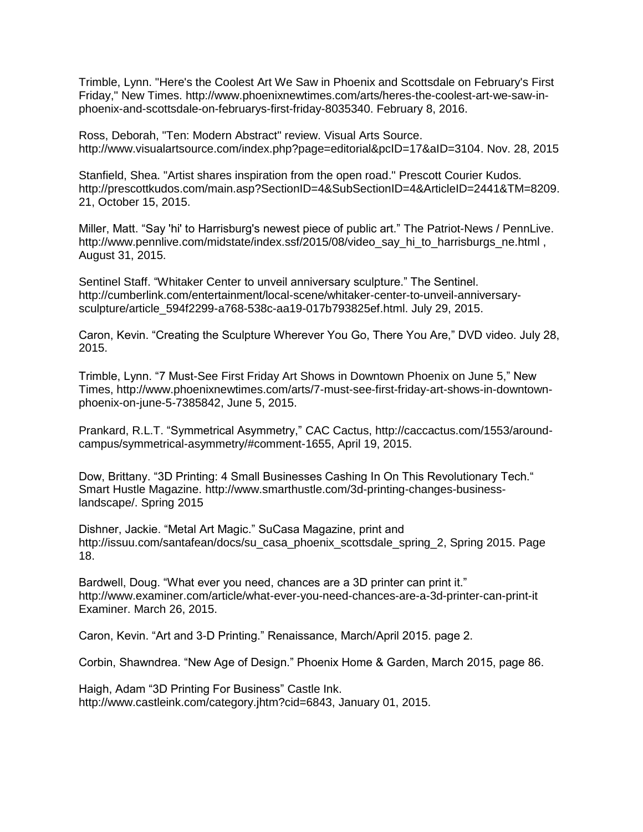Trimble, Lynn. "Here's the Coolest Art We Saw in Phoenix and Scottsdale on February's First Friday," New Times. [http://www.phoenixnewtimes.com/arts/heres-the-coolest-art-we-saw-in](http://www.phoenixnewtimes.com/arts/heres-the-coolest-art-we-saw-in-phoenix-and-scottsdale-on-februarys-first-friday-8035340)[phoenix-and-scottsdale-on-februarys-first-friday-8035340.](http://www.phoenixnewtimes.com/arts/heres-the-coolest-art-we-saw-in-phoenix-and-scottsdale-on-februarys-first-friday-8035340) February 8, 2016.

Ross, Deborah, "Ten: Modern Abstract" review. Visual Arts Source. [http://www.visualartsource.com/index.php?page=editorial&pcID=17&aID=3104.](http://www.visualartsource.com/index.php?page=editorial&pcID=17&aID=3104) Nov. 28, 2015

Stanfield, Shea. "Artist shares inspiration from the open road." Prescott Courier Kudos. http://prescottkudos.com/main.asp?SectionID=4&SubSectionID=4&ArticleID=2441&TM=8209. 21, October 15, 2015.

Miller, Matt. "Say 'hi' to Harrisburg's newest piece of public art." The Patriot-News / PennLive. http://www.pennlive.com/midstate/index.ssf/2015/08/video\_say\_hi\_to\_harrisburgs\_ne.html, August 31, 2015.

Sentinel Staff. "Whitaker Center to unveil anniversary sculpture." The Sentinel. http://cumberlink.com/entertainment/local-scene/whitaker-center-to-unveil-anniversarysculpture/article\_594f2299-a768-538c-aa19-017b793825ef.html. July 29, 2015.

Caron, Kevin. "Creating the Sculpture Wherever You Go, There You Are," DVD video. July 28, 2015.

Trimble, Lynn. "7 Must-See First Friday Art Shows in Downtown Phoenix on June 5," New Times, [http://www.phoenixnewtimes.com/arts/7-must-see-first-friday-art-shows-in-downtown](http://www.phoenixnewtimes.com/arts/7-must-see-first-friday-art-shows-in-downtown-phoenix-on-june-5-7385842)[phoenix-on-june-5-7385842,](http://www.phoenixnewtimes.com/arts/7-must-see-first-friday-art-shows-in-downtown-phoenix-on-june-5-7385842) June 5, 2015.

Prankard, R.L.T. "Symmetrical Asymmetry," CAC Cactus, http://caccactus.com/1553/aroundcampus/symmetrical-asymmetry/#comment-1655, April 19, 2015.

Dow, Brittany. "3D Printing: 4 Small Businesses Cashing In On This Revolutionary Tech." Smart Hustle Magazine. [http://www.smarthustle.com/3d-printing-changes-business](http://www.smarthustle.com/3d-printing-changes-business-landscape/)[landscape/.](http://www.smarthustle.com/3d-printing-changes-business-landscape/) Spring 2015

Dishner, Jackie. "Metal Art Magic." SuCasa Magazine, print and http://issuu.com/santafean/docs/su casa phoenix scottsdale spring 2, Spring 2015. Page 18.

Bardwell, Doug. "What ever you need, chances are a 3D printer can print it." http://www.examiner.com/article/what-ever-you-need-chances-are-a-3d-printer-can-print-it Examiner. March 26, 2015.

Caron, Kevin. "Art and 3-D Printing." Renaissance, March/April 2015. page 2.

Corbin, Shawndrea. "New Age of Design." Phoenix Home & Garden, March 2015, page 86.

Haigh, Adam "3D Printing For Business" Castle Ink. http://www.castleink.com/category.jhtm?cid=6843, January 01, 2015.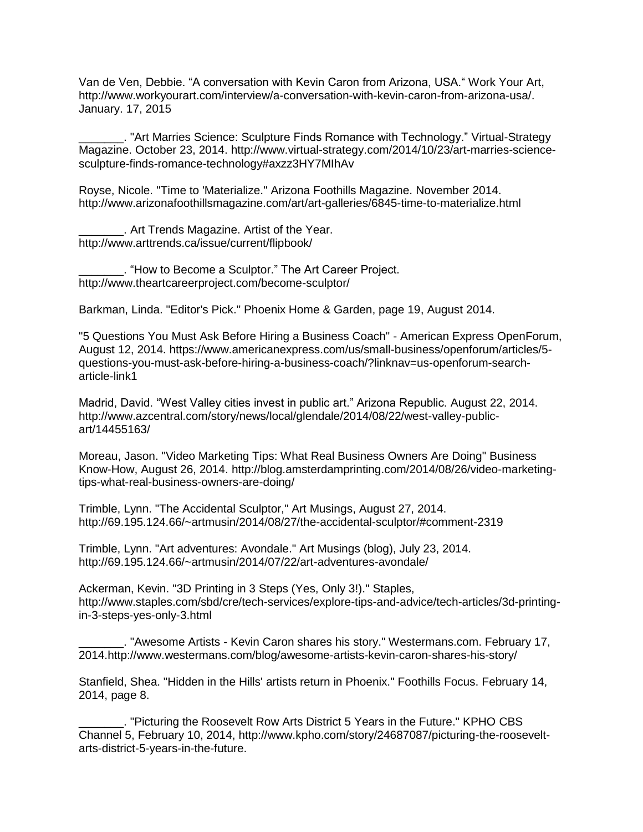Van de Ven, Debbie. "A conversation with Kevin Caron from Arizona, USA." Work Your Art, http://www.workyourart.com/interview/a-conversation-with-kevin-caron-from-arizona-usa/. January. 17, 2015

\_\_\_\_\_\_\_. "Art Marries Science: Sculpture Finds Romance with Technology." Virtual-Strategy Magazine. October 23, 2014. http://www.virtual-strategy.com/2014/10/23/art-marries-sciencesculpture-finds-romance-technology#axzz3HY7MIhAv

Royse, Nicole. "Time to 'Materialize." Arizona Foothills Magazine. November 2014. http://www.arizonafoothillsmagazine.com/art/art-galleries/6845-time-to-materialize.html

\_\_\_\_\_\_\_. Art Trends Magazine. Artist of the Year. http://www.arttrends.ca/issue/current/flipbook/

\_\_\_\_\_\_\_. "How to Become a Sculptor." The Art Career Project. http://www.theartcareerproject.com/become-sculptor/

Barkman, Linda. "Editor's Pick." Phoenix Home & Garden, page 19, August 2014.

"5 Questions You Must Ask Before Hiring a Business Coach" - American Express OpenForum, August 12, 2014. [https://www.americanexpress.com/us/small-business/openforum/articles/5](https://www.americanexpress.com/us/small-business/openforum/articles/5-questions-you-must-ask-before-hiring-a-business-coach/?linknav=us-openforum-search-article-link1) [questions-you-must-ask-before-hiring-a-business-coach/?linknav=us-openforum-search](https://www.americanexpress.com/us/small-business/openforum/articles/5-questions-you-must-ask-before-hiring-a-business-coach/?linknav=us-openforum-search-article-link1)[article-link1](https://www.americanexpress.com/us/small-business/openforum/articles/5-questions-you-must-ask-before-hiring-a-business-coach/?linknav=us-openforum-search-article-link1)

Madrid, David. "West Valley cities invest in public art." Arizona Republic. August 22, 2014. [http://www.azcentral.com/story/news/local/glendale/2014/08/22/west-valley-public](http://www.azcentral.com/story/news/local/glendale/2014/08/22/west-valley-public-art/14455163/)[art/14455163/](http://www.azcentral.com/story/news/local/glendale/2014/08/22/west-valley-public-art/14455163/)

Moreau, Jason. "Video Marketing Tips: What Real Business Owners Are Doing" Business Know-How, August 26, 2014. [http://blog.amsterdamprinting.com/2014/08/26/video-marketing](http://blog.amsterdamprinting.com/2014/08/26/video-marketing-tips-what-real-business-owners-are-doing/)[tips-what-real-business-owners-are-doing/](http://blog.amsterdamprinting.com/2014/08/26/video-marketing-tips-what-real-business-owners-are-doing/)

Trimble, Lynn. "The Accidental Sculptor," Art Musings, August 27, 2014. <http://69.195.124.66/~artmusin/2014/08/27/the-accidental-sculptor/#comment-2319>

Trimble, Lynn. "Art adventures: Avondale." Art Musings (blog), July 23, 2014. http://69.195.124.66/~artmusin/2014/07/22/art-adventures-avondale/

Ackerman, Kevin. "3D Printing in 3 Steps (Yes, Only 3!)." Staples, http://www.staples.com/sbd/cre/tech-services/explore-tips-and-advice/tech-articles/3d-printingin-3-steps-yes-only-3.html

. "Awesome Artists - Kevin Caron shares his story." Westermans.com. February 17, 2014.http://www.westermans.com/blog/awesome-artists-kevin-caron-shares-his-story/

Stanfield, Shea. "Hidden in the Hills' artists return in Phoenix." Foothills Focus. February 14, 2014, page 8.

\_\_\_\_\_\_\_. "Picturing the Roosevelt Row Arts District 5 Years in the Future." KPHO CBS Channel 5, February 10, 2014, http://www.kpho.com/story/24687087/picturing-the-rooseveltarts-district-5-years-in-the-future.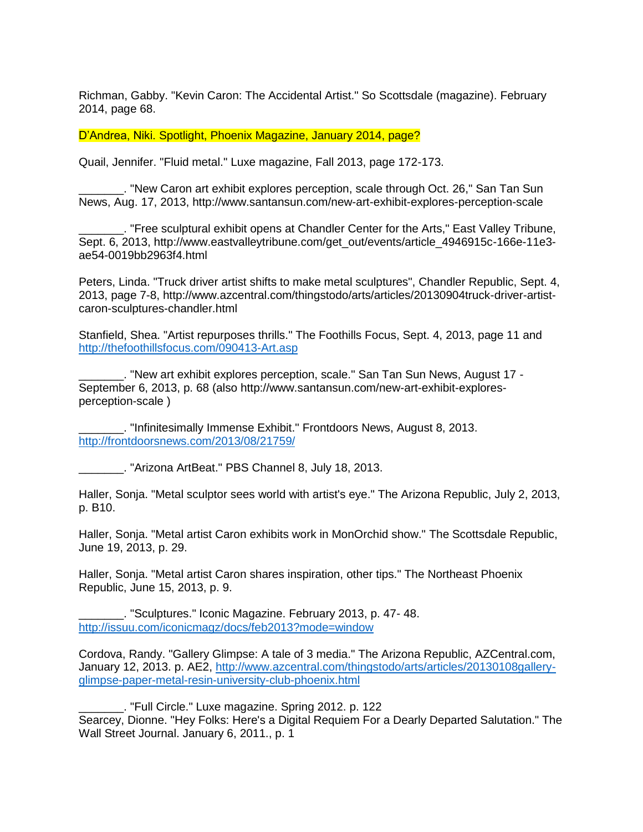Richman, Gabby. "Kevin Caron: The Accidental Artist." So Scottsdale (magazine). February 2014, page 68.

D'Andrea, Niki. Spotlight, Phoenix Magazine, January 2014, page?

Quail, Jennifer. "Fluid metal." Luxe magazine, Fall 2013, page 172-173.

\_\_\_\_\_\_\_. "New Caron art exhibit explores perception, scale through Oct. 26," San Tan Sun News, Aug. 17, 2013, http://www.santansun.com/new-art-exhibit-explores-perception-scale

\_\_\_\_\_\_\_. "Free sculptural exhibit opens at Chandler Center for the Arts," East Valley Tribune, Sept. 6, 2013, http://www.eastvalleytribune.com/get\_out/events/article\_4946915c-166e-11e3 ae54-0019bb2963f4.html

Peters, Linda. "Truck driver artist shifts to make metal sculptures", Chandler Republic, Sept. 4, 2013, page 7-8, http://www.azcentral.com/thingstodo/arts/articles/20130904truck-driver-artistcaron-sculptures-chandler.html

Stanfield, Shea. "Artist repurposes thrills." The Foothills Focus, Sept. 4, 2013, page 11 and <http://thefoothillsfocus.com/090413-Art.asp>

\_\_\_\_\_\_\_. "New art exhibit explores perception, scale." San Tan Sun News, August 17 - September 6, 2013, p. 68 (also http://www.santansun.com/new-art-exhibit-exploresperception-scale )

\_\_\_\_\_\_\_. "Infinitesimally Immense Exhibit." Frontdoors News, August 8, 2013. <http://frontdoorsnews.com/2013/08/21759/>

\_\_\_\_\_\_\_. "Arizona ArtBeat." PBS Channel 8, July 18, 2013.

Haller, Sonja. "Metal sculptor sees world with artist's eye." The Arizona Republic, July 2, 2013, p. B10.

Haller, Sonja. "Metal artist Caron exhibits work in MonOrchid show." The Scottsdale Republic, June 19, 2013, p. 29.

Haller, Sonja. "Metal artist Caron shares inspiration, other tips." The Northeast Phoenix Republic, June 15, 2013, p. 9.

\_\_\_\_\_\_\_. "Sculptures." Iconic Magazine. February 2013, p. 47- 48. <http://issuu.com/iconicmagz/docs/feb2013?mode=window>

Cordova, Randy. "Gallery Glimpse: A tale of 3 media." The Arizona Republic, AZCentral.com, January 12, 2013. p. AE2, [http://www.azcentral.com/thingstodo/arts/articles/20130108gallery](http://www.azcentral.com/thingstodo/arts/articles/20130108gallery-glimpse-paper-metal-resin-university-club-phoenix.html)[glimpse-paper-metal-resin-university-club-phoenix.html](http://www.azcentral.com/thingstodo/arts/articles/20130108gallery-glimpse-paper-metal-resin-university-club-phoenix.html)

\_\_\_\_\_\_\_. "Full Circle." Luxe magazine. Spring 2012. p. 122 Searcey, Dionne. "Hey Folks: Here's a Digital Requiem For a Dearly Departed Salutation." The Wall Street Journal. January 6, 2011., p. 1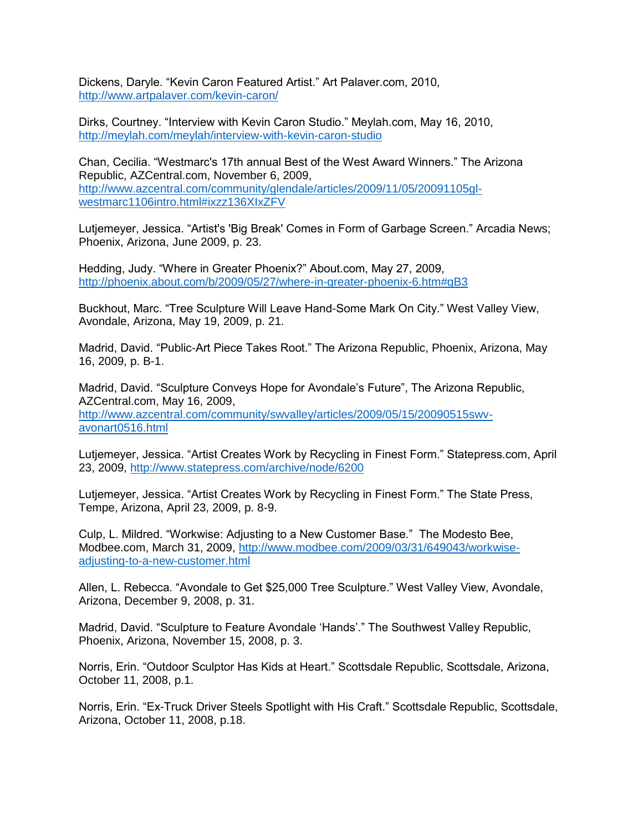Dickens, Daryle. "Kevin Caron Featured Artist." Art Palaver.com, 2010, <http://www.artpalaver.com/kevin-caron/>

Dirks, Courtney. "Interview with Kevin Caron Studio." Meylah.com, May 16, 2010, <http://meylah.com/meylah/interview-with-kevin-caron-studio>

Chan, Cecilia. "Westmarc's 17th annual Best of the West Award Winners." The Arizona Republic, AZCentral.com, November 6, 2009, [http://www.azcentral.com/community/glendale/articles/2009/11/05/20091105gl](http://www.azcentral.com/community/glendale/articles/2009/11/05/20091105gl-westmarc1106intro.html#ixzz136XIxZFV)[westmarc1106intro.html#ixzz136XIxZFV](http://www.azcentral.com/community/glendale/articles/2009/11/05/20091105gl-westmarc1106intro.html#ixzz136XIxZFV)

Lutjemeyer, Jessica. "Artist's 'Big Break' Comes in Form of Garbage Screen." Arcadia News; Phoenix, Arizona, June 2009, p. 23.

Hedding, Judy. "Where in Greater Phoenix?" About.com, May 27, 2009, <http://phoenix.about.com/b/2009/05/27/where-in-greater-phoenix-6.htm#gB3>

Buckhout, Marc. "Tree Sculpture Will Leave Hand-Some Mark On City." West Valley View, Avondale, Arizona, May 19, 2009, p. 21.

Madrid, David. "Public-Art Piece Takes Root." The Arizona Republic, Phoenix, Arizona, May 16, 2009, p. B-1.

Madrid, David. "Sculpture Conveys Hope for Avondale's Future", The Arizona Republic, AZCentral.com, May 16, 2009, [http://www.azcentral.com/community/swvalley/articles/2009/05/15/20090515swv](http://www.azcentral.com/community/swvalley/articles/2009/05/15/20090515swv-avonart0516.html)[avonart0516.html](http://www.azcentral.com/community/swvalley/articles/2009/05/15/20090515swv-avonart0516.html)

Lutjemeyer, Jessica. "Artist Creates Work by Recycling in Finest Form." Statepress.com, April 23, 2009,<http://www.statepress.com/archive/node/6200>

Lutjemeyer, Jessica. "Artist Creates Work by Recycling in Finest Form." The State Press, Tempe, Arizona, April 23, 2009, p. 8-9.

Culp, L. Mildred. "Workwise: Adjusting to a New Customer Base." The Modesto Bee, Modbee.com, March 31, 2009, [http://www.modbee.com/2009/03/31/649043/workwise](http://www.modbee.com/2009/03/31/649043/workwise-adjusting-to-a-new-customer.html)[adjusting-to-a-new-customer.html](http://www.modbee.com/2009/03/31/649043/workwise-adjusting-to-a-new-customer.html)

Allen, L. Rebecca. "Avondale to Get \$25,000 Tree Sculpture." West Valley View, Avondale, Arizona, December 9, 2008, p. 31.

Madrid, David. "Sculpture to Feature Avondale 'Hands'." The Southwest Valley Republic, Phoenix, Arizona, November 15, 2008, p. 3.

Norris, Erin. "Outdoor Sculptor Has Kids at Heart." Scottsdale Republic, Scottsdale, Arizona, October 11, 2008, p.1.

Norris, Erin. "Ex-Truck Driver Steels Spotlight with His Craft." Scottsdale Republic, Scottsdale, Arizona, October 11, 2008, p.18.